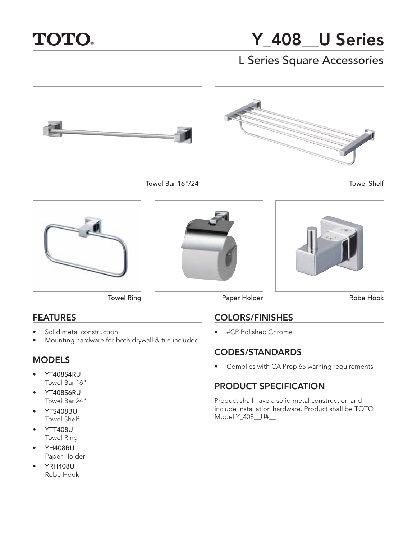

# **Y\_408\_\_U Series** L Series Square Accessories













## **FEATURES**

- **FEATURES** • Solid metal construction
- Mounting hardware for both drywall & tile included

- **MODELS** • YT408S4RU Towel Bar 16"
- YT408S6RU Towel Bar 24"
- YTS408BU Towel Shelf
- YTT408U Towel Ring
- YH408RU Paper Holder
- YRH408U Robe Hook





Towel Ring **Paper Holder** 

Robe Hook

**COLORS/FINISHES** • #CP Polished Chrome

**CONEXER STANDARDS** • Complies with CA Prop 65 warning requirements

## **PRODUCT SPECIFICATION**

Product shall have a solid metal construction and include installation hardware. Product shall be TOTO Model Y\_408\_\_U#\_\_